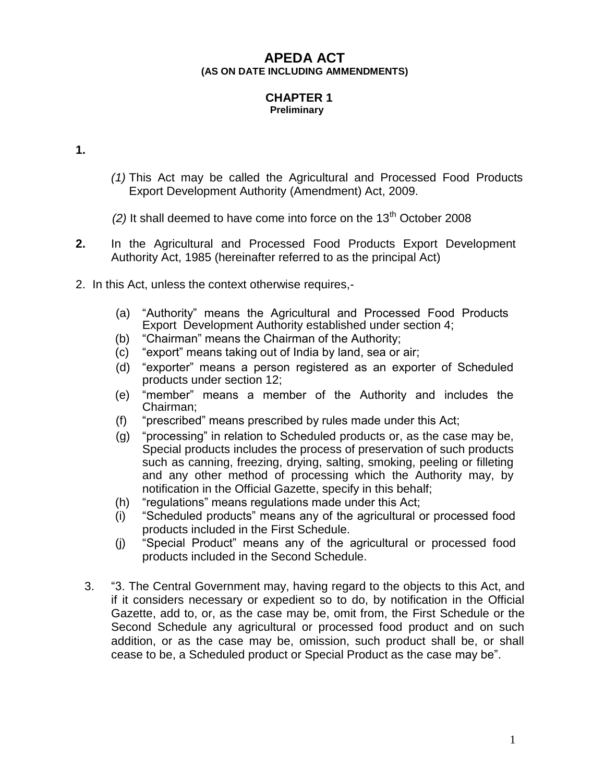# **APEDA ACT (AS ON DATE INCLUDING AMMENDMENTS)**

#### **CHAPTER 1 Preliminary**

**1.**

- *(1)* This Act may be called the Agricultural and Processed Food Products Export Development Authority (Amendment) Act, 2009.
- $(2)$  It shall deemed to have come into force on the  $13<sup>th</sup>$  October 2008
- **2.** In the Agricultural and Processed Food Products Export Development Authority Act, 1985 (hereinafter referred to as the principal Act)
- 2. In this Act, unless the context otherwise requires,-
	- (a) "Authority" means the Agricultural and Processed Food Products Export Development Authority established under section 4;
	- (b) "Chairman" means the Chairman of the Authority;
	- (c) "export" means taking out of India by land, sea or air;
	- (d) "exporter" means a person registered as an exporter of Scheduled products under section 12;
	- (e) "member" means a member of the Authority and includes the Chairman;
	- (f) "prescribed" means prescribed by rules made under this Act;
	- (g) "processing" in relation to Scheduled products or, as the case may be, Special products includes the process of preservation of such products such as canning, freezing, drying, salting, smoking, peeling or filleting and any other method of processing which the Authority may, by notification in the Official Gazette, specify in this behalf;
	- (h) "regulations" means regulations made under this Act;
	- (i) "Scheduled products" means any of the agricultural or processed food products included in the First Schedule.
	- (j) "Special Product" means any of the agricultural or processed food products included in the Second Schedule.
	- 3. "3. The Central Government may, having regard to the objects to this Act, and if it considers necessary or expedient so to do, by notification in the Official Gazette, add to, or, as the case may be, omit from, the First Schedule or the Second Schedule any agricultural or processed food product and on such addition, or as the case may be, omission, such product shall be, or shall cease to be, a Scheduled product or Special Product as the case may be".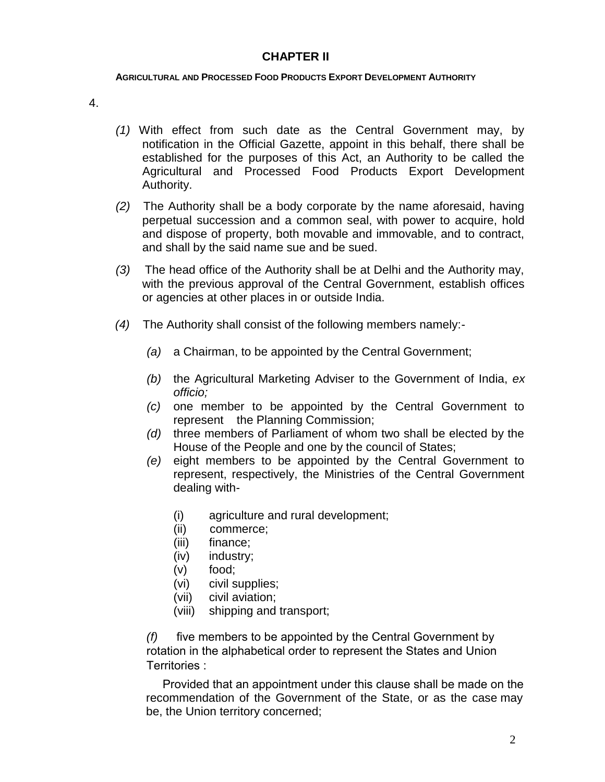### **CHAPTER II**

#### **AGRICULTURAL AND PROCESSED FOOD PRODUCTS EXPORT DEVELOPMENT AUTHORITY**

4.

- *(1)* With effect from such date as the Central Government may, by notification in the Official Gazette, appoint in this behalf, there shall be established for the purposes of this Act, an Authority to be called the Agricultural and Processed Food Products Export Development Authority.
- *(2)* The Authority shall be a body corporate by the name aforesaid, having perpetual succession and a common seal, with power to acquire, hold and dispose of property, both movable and immovable, and to contract, and shall by the said name sue and be sued.
- *(3)* The head office of the Authority shall be at Delhi and the Authority may, with the previous approval of the Central Government, establish offices or agencies at other places in or outside India.
- *(4)* The Authority shall consist of the following members namely:-
	- *(a)* a Chairman, to be appointed by the Central Government;
	- *(b)* the Agricultural Marketing Adviser to the Government of India, *ex officio;*
	- *(c)* one member to be appointed by the Central Government to represent the Planning Commission;
	- *(d)* three members of Parliament of whom two shall be elected by the House of the People and one by the council of States;
	- *(e)* eight members to be appointed by the Central Government to represent, respectively, the Ministries of the Central Government dealing with-
		- (i) agriculture and rural development;
		- (ii) commerce;
		- (iii) finance;
		- (iv) industry;
		- (v) food;
		- (vi) civil supplies;
		- (vii) civil aviation;
		- (viii) shipping and transport;

*(f)* five members to be appointed by the Central Government by rotation in the alphabetical order to represent the States and Union Territories :

 Provided that an appointment under this clause shall be made on the recommendation of the Government of the State, or as the case may be, the Union territory concerned;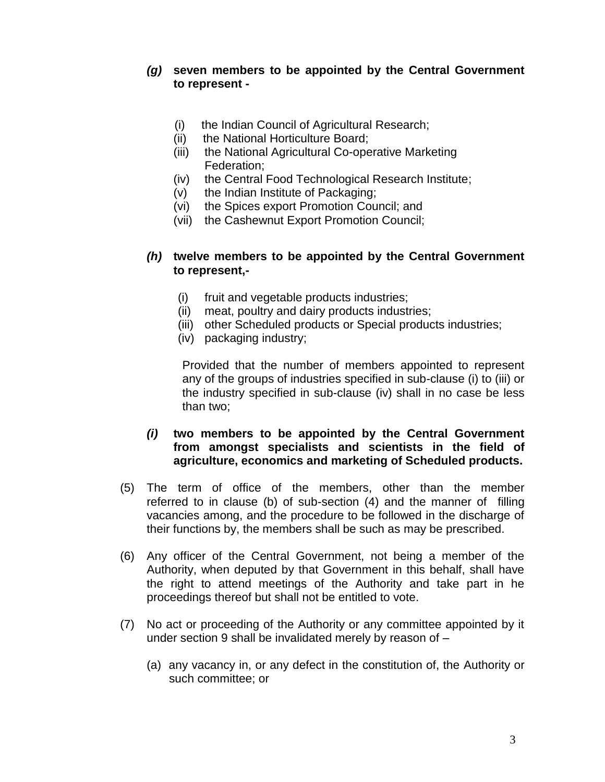### *(g)* **seven members to be appointed by the Central Government to represent -**

- (i) the Indian Council of Agricultural Research;
- (ii) the National Horticulture Board;
- (iii) the National Agricultural Co-operative Marketing Federation;
- (iv) the Central Food Technological Research Institute;
- (v) the Indian Institute of Packaging;
- (vi) the Spices export Promotion Council; and
- (vii) the Cashewnut Export Promotion Council;

### *(h)* **twelve members to be appointed by the Central Government to represent,-**

- (i) fruit and vegetable products industries;
- (ii) meat, poultry and dairy products industries;
- (iii) other Scheduled products or Special products industries;
- (iv) packaging industry;

Provided that the number of members appointed to represent any of the groups of industries specified in sub-clause (i) to (iii) or the industry specified in sub-clause (iv) shall in no case be less than two;

## *(i)* **two members to be appointed by the Central Government from amongst specialists and scientists in the field of agriculture, economics and marketing of Scheduled products.**

- (5) The term of office of the members, other than the member referred to in clause (b) of sub-section (4) and the manner of filling vacancies among, and the procedure to be followed in the discharge of their functions by, the members shall be such as may be prescribed.
- (6) Any officer of the Central Government, not being a member of the Authority, when deputed by that Government in this behalf, shall have the right to attend meetings of the Authority and take part in he proceedings thereof but shall not be entitled to vote.
- (7) No act or proceeding of the Authority or any committee appointed by it under section 9 shall be invalidated merely by reason of –
	- (a) any vacancy in, or any defect in the constitution of, the Authority or such committee; or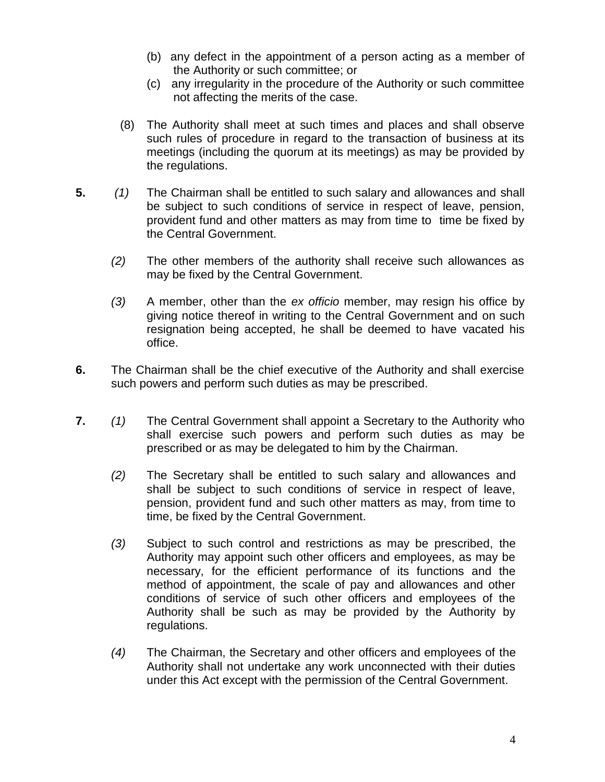- (b) any defect in the appointment of a person acting as a member of the Authority or such committee; or
- (c) any irregularity in the procedure of the Authority or such committee not affecting the merits of the case.
- (8) The Authority shall meet at such times and places and shall observe such rules of procedure in regard to the transaction of business at its meetings (including the quorum at its meetings) as may be provided by the regulations.
- **5.** *(1)* The Chairman shall be entitled to such salary and allowances and shall be subject to such conditions of service in respect of leave, pension, provident fund and other matters as may from time to time be fixed by the Central Government.
	- *(2)* The other members of the authority shall receive such allowances as may be fixed by the Central Government.
	- *(3)* A member, other than the *ex officio* member, may resign his office by giving notice thereof in writing to the Central Government and on such resignation being accepted, he shall be deemed to have vacated his office.
- **6.** The Chairman shall be the chief executive of the Authority and shall exercise such powers and perform such duties as may be prescribed.
- **7.** *(1)* The Central Government shall appoint a Secretary to the Authority who shall exercise such powers and perform such duties as may be prescribed or as may be delegated to him by the Chairman.
	- *(2)* The Secretary shall be entitled to such salary and allowances and shall be subject to such conditions of service in respect of leave, pension, provident fund and such other matters as may, from time to time, be fixed by the Central Government.
	- *(3)* Subject to such control and restrictions as may be prescribed, the Authority may appoint such other officers and employees, as may be necessary, for the efficient performance of its functions and the method of appointment, the scale of pay and allowances and other conditions of service of such other officers and employees of the Authority shall be such as may be provided by the Authority by regulations.
	- *(4)* The Chairman, the Secretary and other officers and employees of the Authority shall not undertake any work unconnected with their duties under this Act except with the permission of the Central Government.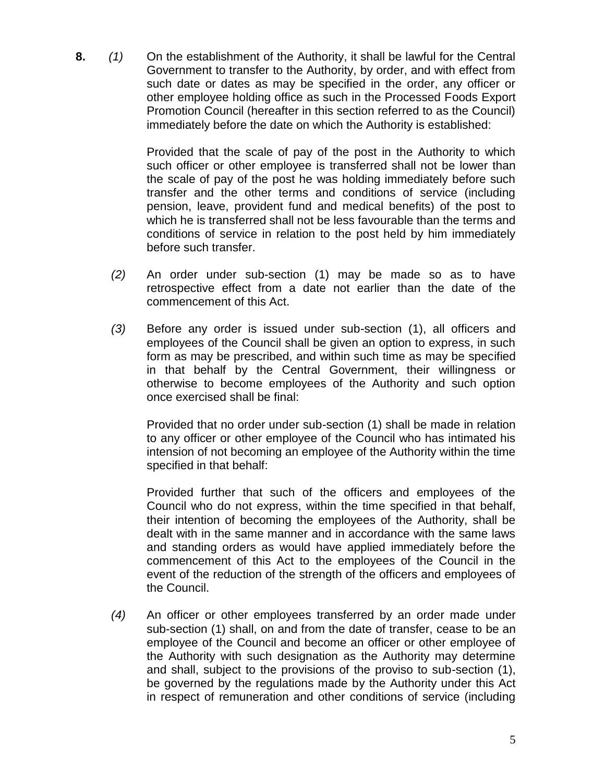**8.** *(1)* On the establishment of the Authority, it shall be lawful for the Central Government to transfer to the Authority, by order, and with effect from such date or dates as may be specified in the order, any officer or other employee holding office as such in the Processed Foods Export Promotion Council (hereafter in this section referred to as the Council) immediately before the date on which the Authority is established:

> Provided that the scale of pay of the post in the Authority to which such officer or other employee is transferred shall not be lower than the scale of pay of the post he was holding immediately before such transfer and the other terms and conditions of service (including pension, leave, provident fund and medical benefits) of the post to which he is transferred shall not be less favourable than the terms and conditions of service in relation to the post held by him immediately before such transfer.

- *(2)* An order under sub-section (1) may be made so as to have retrospective effect from a date not earlier than the date of the commencement of this Act.
- *(3)* Before any order is issued under sub-section (1), all officers and employees of the Council shall be given an option to express, in such form as may be prescribed, and within such time as may be specified in that behalf by the Central Government, their willingness or otherwise to become employees of the Authority and such option once exercised shall be final:

Provided that no order under sub-section (1) shall be made in relation to any officer or other employee of the Council who has intimated his intension of not becoming an employee of the Authority within the time specified in that behalf:

Provided further that such of the officers and employees of the Council who do not express, within the time specified in that behalf, their intention of becoming the employees of the Authority, shall be dealt with in the same manner and in accordance with the same laws and standing orders as would have applied immediately before the commencement of this Act to the employees of the Council in the event of the reduction of the strength of the officers and employees of the Council.

*(4)* An officer or other employees transferred by an order made under sub-section (1) shall, on and from the date of transfer, cease to be an employee of the Council and become an officer or other employee of the Authority with such designation as the Authority may determine and shall, subject to the provisions of the proviso to sub-section (1), be governed by the regulations made by the Authority under this Act in respect of remuneration and other conditions of service (including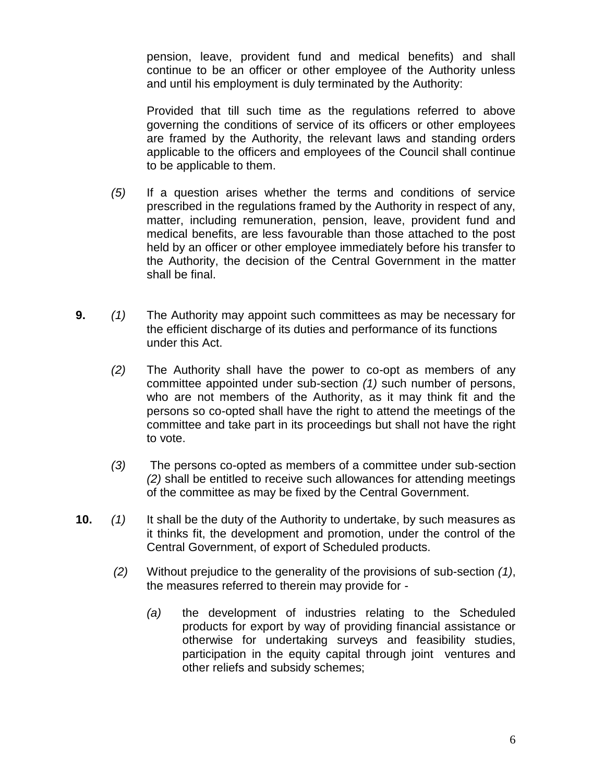pension, leave, provident fund and medical benefits) and shall continue to be an officer or other employee of the Authority unless and until his employment is duly terminated by the Authority:

Provided that till such time as the regulations referred to above governing the conditions of service of its officers or other employees are framed by the Authority, the relevant laws and standing orders applicable to the officers and employees of the Council shall continue to be applicable to them.

- *(5)* If a question arises whether the terms and conditions of service prescribed in the regulations framed by the Authority in respect of any, matter, including remuneration, pension, leave, provident fund and medical benefits, are less favourable than those attached to the post held by an officer or other employee immediately before his transfer to the Authority, the decision of the Central Government in the matter shall be final.
- **9.** *(1)* The Authority may appoint such committees as may be necessary for the efficient discharge of its duties and performance of its functions under this Act.
	- *(2)* The Authority shall have the power to co-opt as members of any committee appointed under sub-section *(1)* such number of persons, who are not members of the Authority, as it may think fit and the persons so co-opted shall have the right to attend the meetings of the committee and take part in its proceedings but shall not have the right to vote.
	- *(3)* The persons co-opted as members of a committee under sub-section *(2)* shall be entitled to receive such allowances for attending meetings of the committee as may be fixed by the Central Government.
- **10.** *(1)* It shall be the duty of the Authority to undertake, by such measures as it thinks fit, the development and promotion, under the control of the Central Government, of export of Scheduled products.
	- *(2)* Without prejudice to the generality of the provisions of sub-section *(1)*, the measures referred to therein may provide for -
		- *(a)* the development of industries relating to the Scheduled products for export by way of providing financial assistance or otherwise for undertaking surveys and feasibility studies, participation in the equity capital through joint ventures and other reliefs and subsidy schemes;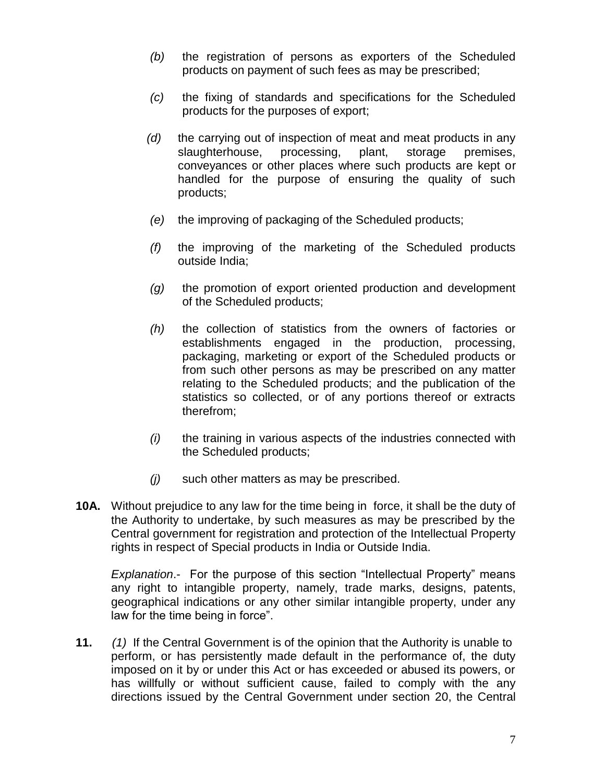- *(b)* the registration of persons as exporters of the Scheduled products on payment of such fees as may be prescribed;
- *(c)* the fixing of standards and specifications for the Scheduled products for the purposes of export;
- *(d)* the carrying out of inspection of meat and meat products in any slaughterhouse, processing, plant, storage premises, conveyances or other places where such products are kept or handled for the purpose of ensuring the quality of such products;
- *(e)* the improving of packaging of the Scheduled products;
- *(f)* the improving of the marketing of the Scheduled products outside India;
- *(g)* the promotion of export oriented production and development of the Scheduled products;
- *(h)* the collection of statistics from the owners of factories or establishments engaged in the production, processing, packaging, marketing or export of the Scheduled products or from such other persons as may be prescribed on any matter relating to the Scheduled products; and the publication of the statistics so collected, or of any portions thereof or extracts therefrom;
- *(i)* the training in various aspects of the industries connected with the Scheduled products;
- *(j)* such other matters as may be prescribed.
- **10A.** Without prejudice to any law for the time being in force, it shall be the duty of the Authority to undertake, by such measures as may be prescribed by the Central government for registration and protection of the Intellectual Property rights in respect of Special products in India or Outside India.

*Explanation*.- For the purpose of this section "Intellectual Property" means any right to intangible property, namely, trade marks, designs, patents, geographical indications or any other similar intangible property, under any law for the time being in force".

**11.** *(1)* If the Central Government is of the opinion that the Authority is unable to perform, or has persistently made default in the performance of, the duty imposed on it by or under this Act or has exceeded or abused its powers, or has willfully or without sufficient cause, failed to comply with the any directions issued by the Central Government under section 20, the Central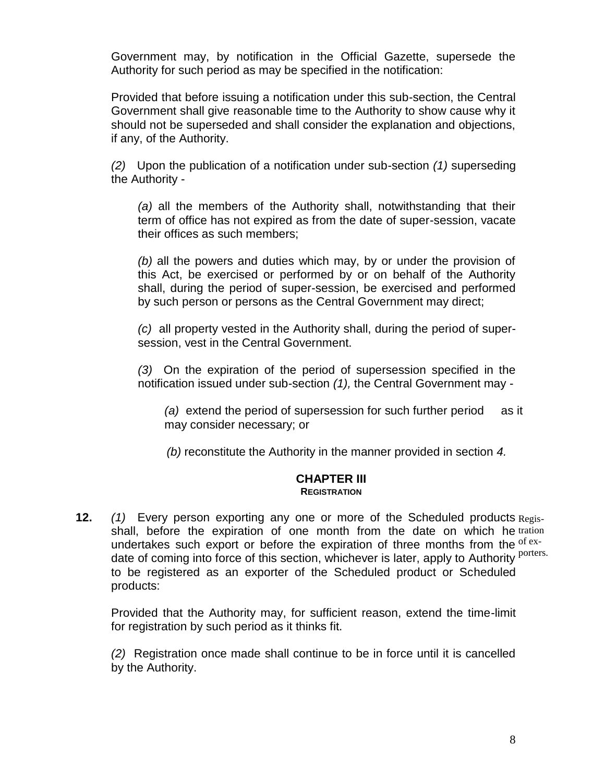Government may, by notification in the Official Gazette, supersede the Authority for such period as may be specified in the notification:

Provided that before issuing a notification under this sub-section, the Central Government shall give reasonable time to the Authority to show cause why it should not be superseded and shall consider the explanation and objections, if any, of the Authority.

*(2)* Upon the publication of a notification under sub-section *(1)* superseding the Authority -

*(a)* all the members of the Authority shall, notwithstanding that their term of office has not expired as from the date of super-session, vacate their offices as such members;

*(b)* all the powers and duties which may, by or under the provision of this Act, be exercised or performed by or on behalf of the Authority shall, during the period of super-session, be exercised and performed by such person or persons as the Central Government may direct;

*(c)* all property vested in the Authority shall, during the period of supersession, vest in the Central Government.

*(3)* On the expiration of the period of supersession specified in the notification issued under sub-section *(1),* the Central Government may -

*(a)* extend the period of supersession for such further period as it may consider necessary; or

*(b)* reconstitute the Authority in the manner provided in section *4.*

#### **CHAPTER III REGISTRATION**

**12.** (1) Every person exporting any one or more of the Scheduled products Regisshall, before the expiration of one month from the date on which he tration undertakes such export or before the expiration of three months from the  $of$  exand the common state of this section, whichever is later, apply to Authority <sup>porters.</sup> to be registered as an exporter of the Scheduled product or Scheduled products:

Provided that the Authority may, for sufficient reason, extend the time-limit for registration by such period as it thinks fit.

*(2)* Registration once made shall continue to be in force until it is cancelled by the Authority.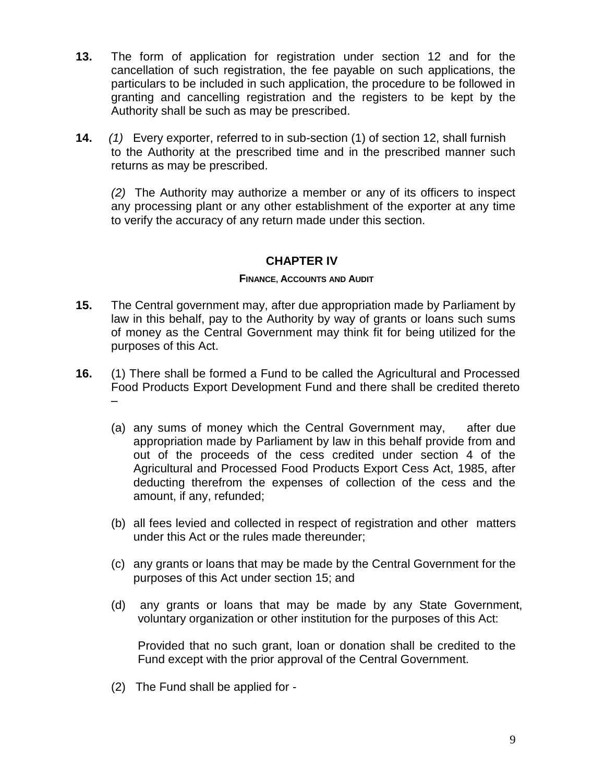- **13.** The form of application for registration under section 12 and for the cancellation of such registration, the fee payable on such applications, the particulars to be included in such application, the procedure to be followed in granting and cancelling registration and the registers to be kept by the Authority shall be such as may be prescribed.
- **14.** *(1)* Every exporter, referred to in sub-section (1) of section 12, shall furnish to the Authority at the prescribed time and in the prescribed manner such returns as may be prescribed.

*(2)* The Authority may authorize a member or any of its officers to inspect any processing plant or any other establishment of the exporter at any time to verify the accuracy of any return made under this section.

## **CHAPTER IV**

### **FINANCE, ACCOUNTS AND AUDIT**

- **15.** The Central government may, after due appropriation made by Parliament by law in this behalf, pay to the Authority by way of grants or loans such sums of money as the Central Government may think fit for being utilized for the purposes of this Act.
- **16.** (1) There shall be formed a Fund to be called the Agricultural and Processed Food Products Export Development Fund and there shall be credited thereto –
	- (a) any sums of money which the Central Government may, after due appropriation made by Parliament by law in this behalf provide from and out of the proceeds of the cess credited under section 4 of the Agricultural and Processed Food Products Export Cess Act, 1985, after deducting therefrom the expenses of collection of the cess and the amount, if any, refunded;
	- (b) all fees levied and collected in respect of registration and other matters under this Act or the rules made thereunder;
	- (c) any grants or loans that may be made by the Central Government for the purposes of this Act under section 15; and
	- (d) any grants or loans that may be made by any State Government, voluntary organization or other institution for the purposes of this Act:

Provided that no such grant, loan or donation shall be credited to the Fund except with the prior approval of the Central Government.

(2) The Fund shall be applied for -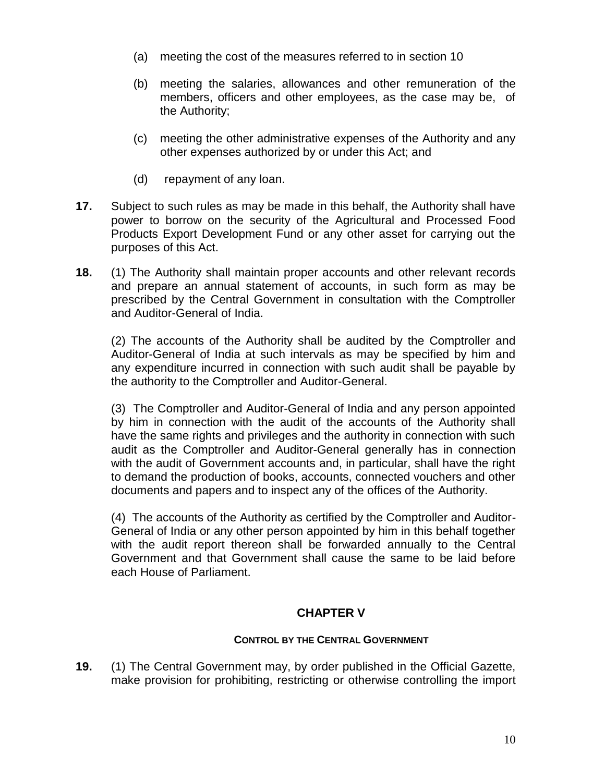- (a) meeting the cost of the measures referred to in section 10
- (b) meeting the salaries, allowances and other remuneration of the members, officers and other employees, as the case may be, of the Authority;
- (c) meeting the other administrative expenses of the Authority and any other expenses authorized by or under this Act; and
- (d) repayment of any loan.
- **17.** Subject to such rules as may be made in this behalf, the Authority shall have power to borrow on the security of the Agricultural and Processed Food Products Export Development Fund or any other asset for carrying out the purposes of this Act.
- **18.** (1) The Authority shall maintain proper accounts and other relevant records and prepare an annual statement of accounts, in such form as may be prescribed by the Central Government in consultation with the Comptroller and Auditor-General of India.

(2) The accounts of the Authority shall be audited by the Comptroller and Auditor-General of India at such intervals as may be specified by him and any expenditure incurred in connection with such audit shall be payable by the authority to the Comptroller and Auditor-General.

(3) The Comptroller and Auditor-General of India and any person appointed by him in connection with the audit of the accounts of the Authority shall have the same rights and privileges and the authority in connection with such audit as the Comptroller and Auditor-General generally has in connection with the audit of Government accounts and, in particular, shall have the right to demand the production of books, accounts, connected vouchers and other documents and papers and to inspect any of the offices of the Authority.

(4) The accounts of the Authority as certified by the Comptroller and Auditor-General of India or any other person appointed by him in this behalf together with the audit report thereon shall be forwarded annually to the Central Government and that Government shall cause the same to be laid before each House of Parliament.

### **CHAPTER V**

### **CONTROL BY THE CENTRAL GOVERNMENT**

**19.** (1) The Central Government may, by order published in the Official Gazette, make provision for prohibiting, restricting or otherwise controlling the import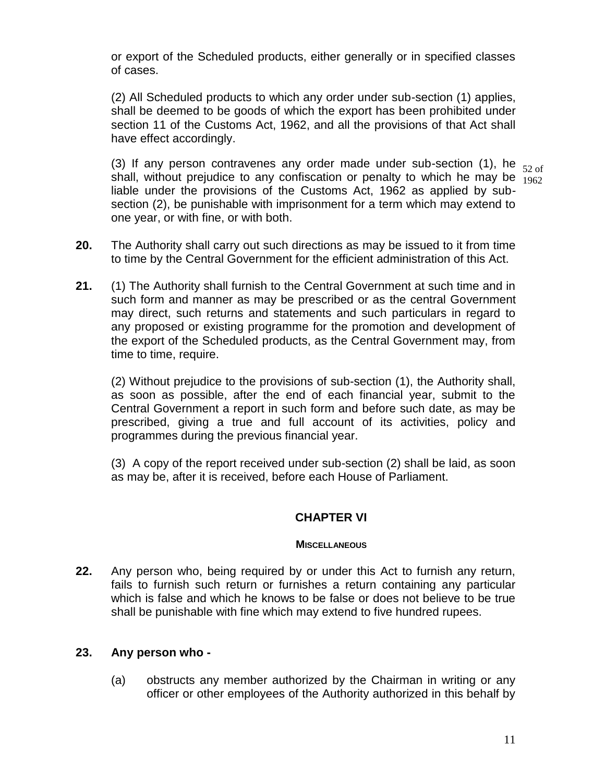or export of the Scheduled products, either generally or in specified classes of cases.

(2) All Scheduled products to which any order under sub-section (1) applies, shall be deemed to be goods of which the export has been prohibited under section 11 of the Customs Act, 1962, and all the provisions of that Act shall have effect accordingly.

(3) If any person contravenes any order made under sub-section (1), he  $_{52 \text{ of}}$ shall, without prejudice to any confiscation or penalty to which he may be  $\frac{52}{1962}$ liable under the provisions of the Customs Act, 1962 as applied by subsection (2), be punishable with imprisonment for a term which may extend to one year, or with fine, or with both.

**20.** The Authority shall carry out such directions as may be issued to it from time to time by the Central Government for the efficient administration of this Act.

**21.** (1) The Authority shall furnish to the Central Government at such time and in such form and manner as may be prescribed or as the central Government may direct, such returns and statements and such particulars in regard to any proposed or existing programme for the promotion and development of the export of the Scheduled products, as the Central Government may, from time to time, require.

(2) Without prejudice to the provisions of sub-section (1), the Authority shall, as soon as possible, after the end of each financial year, submit to the Central Government a report in such form and before such date, as may be prescribed, giving a true and full account of its activities, policy and programmes during the previous financial year.

(3) A copy of the report received under sub-section (2) shall be laid, as soon as may be, after it is received, before each House of Parliament.

### **CHAPTER VI**

#### **MISCELLANEOUS**

**22.** Any person who, being required by or under this Act to furnish any return, fails to furnish such return or furnishes a return containing any particular which is false and which he knows to be false or does not believe to be true shall be punishable with fine which may extend to five hundred rupees.

### **23. Any person who -**

(a) obstructs any member authorized by the Chairman in writing or any officer or other employees of the Authority authorized in this behalf by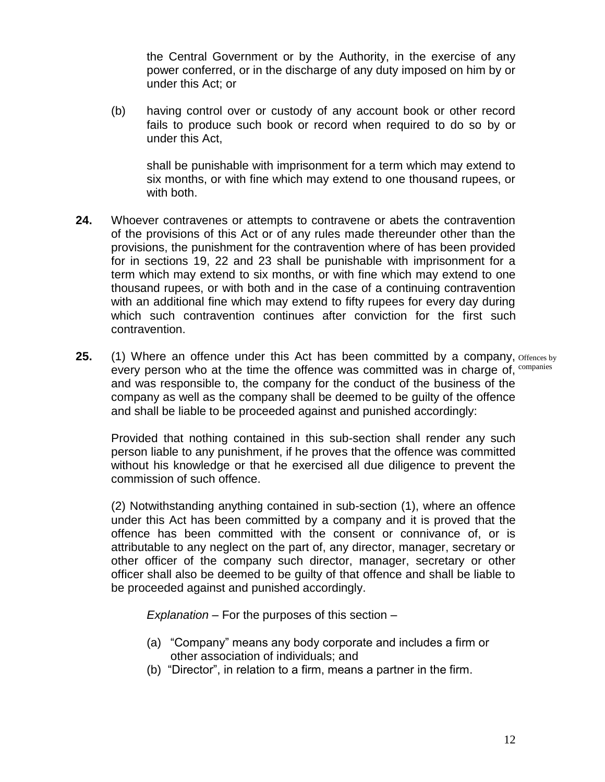the Central Government or by the Authority, in the exercise of any power conferred, or in the discharge of any duty imposed on him by or under this Act; or

(b) having control over or custody of any account book or other record fails to produce such book or record when required to do so by or under this Act,

shall be punishable with imprisonment for a term which may extend to six months, or with fine which may extend to one thousand rupees, or with both.

- **24.** Whoever contravenes or attempts to contravene or abets the contravention of the provisions of this Act or of any rules made thereunder other than the provisions, the punishment for the contravention where of has been provided for in sections 19, 22 and 23 shall be punishable with imprisonment for a term which may extend to six months, or with fine which may extend to one thousand rupees, or with both and in the case of a continuing contravention with an additional fine which may extend to fifty rupees for every day during which such contravention continues after conviction for the first such contravention.
- **25.** (1) Where an offence under this Act has been committed by a company, offences by every person who at the time the offence was committed was in charge of,  $\text{companies}$ and was responsible to, the company for the conduct of the business of the company as well as the company shall be deemed to be guilty of the offence and shall be liable to be proceeded against and punished accordingly:

Provided that nothing contained in this sub-section shall render any such person liable to any punishment, if he proves that the offence was committed without his knowledge or that he exercised all due diligence to prevent the commission of such offence.

(2) Notwithstanding anything contained in sub-section (1), where an offence under this Act has been committed by a company and it is proved that the offence has been committed with the consent or connivance of, or is attributable to any neglect on the part of, any director, manager, secretary or other officer of the company such director, manager, secretary or other officer shall also be deemed to be guilty of that offence and shall be liable to be proceeded against and punished accordingly.

*Explanation* – For the purposes of this section –

- (a) "Company" means any body corporate and includes a firm or other association of individuals; and
- (b) "Director", in relation to a firm, means a partner in the firm.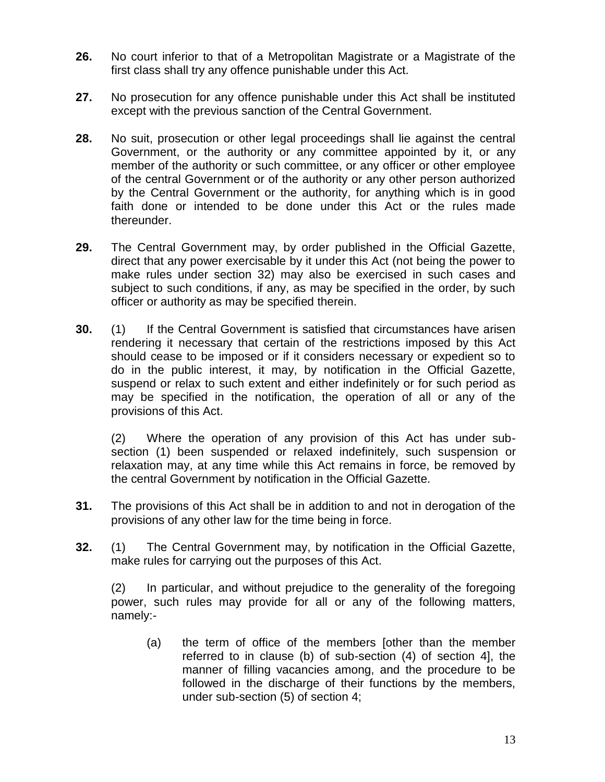- **26.** No court inferior to that of a Metropolitan Magistrate or a Magistrate of the first class shall try any offence punishable under this Act.
- **27.** No prosecution for any offence punishable under this Act shall be instituted except with the previous sanction of the Central Government.
- **28.** No suit, prosecution or other legal proceedings shall lie against the central Government, or the authority or any committee appointed by it, or any member of the authority or such committee, or any officer or other employee of the central Government or of the authority or any other person authorized by the Central Government or the authority, for anything which is in good faith done or intended to be done under this Act or the rules made thereunder.
- **29.** The Central Government may, by order published in the Official Gazette, direct that any power exercisable by it under this Act (not being the power to make rules under section 32) may also be exercised in such cases and subject to such conditions, if any, as may be specified in the order, by such officer or authority as may be specified therein.
- **30.** (1) If the Central Government is satisfied that circumstances have arisen rendering it necessary that certain of the restrictions imposed by this Act should cease to be imposed or if it considers necessary or expedient so to do in the public interest, it may, by notification in the Official Gazette, suspend or relax to such extent and either indefinitely or for such period as may be specified in the notification, the operation of all or any of the provisions of this Act.

(2) Where the operation of any provision of this Act has under subsection (1) been suspended or relaxed indefinitely, such suspension or relaxation may, at any time while this Act remains in force, be removed by the central Government by notification in the Official Gazette.

- **31.** The provisions of this Act shall be in addition to and not in derogation of the provisions of any other law for the time being in force.
- **32.** (1) The Central Government may, by notification in the Official Gazette, make rules for carrying out the purposes of this Act.

(2) In particular, and without prejudice to the generality of the foregoing power, such rules may provide for all or any of the following matters, namely:-

(a) the term of office of the members [other than the member referred to in clause (b) of sub-section (4) of section 4], the manner of filling vacancies among, and the procedure to be followed in the discharge of their functions by the members, under sub-section (5) of section 4;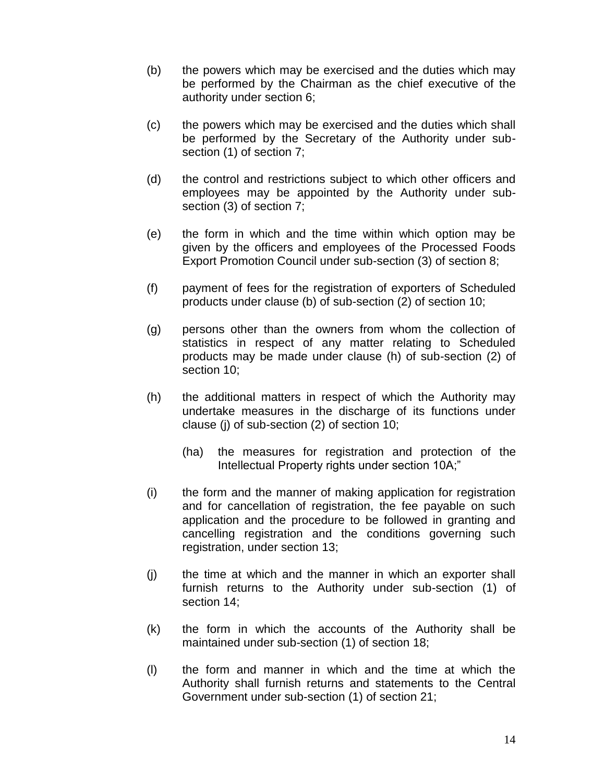- (b) the powers which may be exercised and the duties which may be performed by the Chairman as the chief executive of the authority under section 6;
- (c) the powers which may be exercised and the duties which shall be performed by the Secretary of the Authority under subsection (1) of section 7;
- (d) the control and restrictions subject to which other officers and employees may be appointed by the Authority under subsection (3) of section 7;
- (e) the form in which and the time within which option may be given by the officers and employees of the Processed Foods Export Promotion Council under sub-section (3) of section 8;
- (f) payment of fees for the registration of exporters of Scheduled products under clause (b) of sub-section (2) of section 10;
- (g) persons other than the owners from whom the collection of statistics in respect of any matter relating to Scheduled products may be made under clause (h) of sub-section (2) of section 10;
- (h) the additional matters in respect of which the Authority may undertake measures in the discharge of its functions under clause (j) of sub-section (2) of section 10;
	- (ha) the measures for registration and protection of the Intellectual Property rights under section 10A;"
- (i) the form and the manner of making application for registration and for cancellation of registration, the fee payable on such application and the procedure to be followed in granting and cancelling registration and the conditions governing such registration, under section 13;
- (j) the time at which and the manner in which an exporter shall furnish returns to the Authority under sub-section (1) of section 14;
- (k) the form in which the accounts of the Authority shall be maintained under sub-section (1) of section 18;
- (l) the form and manner in which and the time at which the Authority shall furnish returns and statements to the Central Government under sub-section (1) of section 21;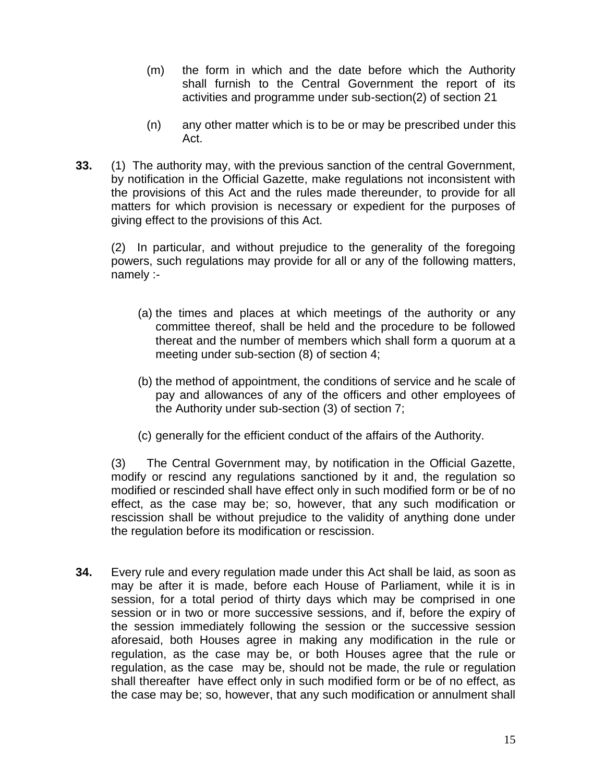- (m) the form in which and the date before which the Authority shall furnish to the Central Government the report of its activities and programme under sub-section(2) of section 21
- (n) any other matter which is to be or may be prescribed under this Act.
- **33.** (1) The authority may, with the previous sanction of the central Government, by notification in the Official Gazette, make regulations not inconsistent with the provisions of this Act and the rules made thereunder, to provide for all matters for which provision is necessary or expedient for the purposes of giving effect to the provisions of this Act.

(2) In particular, and without prejudice to the generality of the foregoing powers, such regulations may provide for all or any of the following matters, namely :-

- (a) the times and places at which meetings of the authority or any committee thereof, shall be held and the procedure to be followed thereat and the number of members which shall form a quorum at a meeting under sub-section (8) of section 4;
- (b) the method of appointment, the conditions of service and he scale of pay and allowances of any of the officers and other employees of the Authority under sub-section (3) of section 7;
- (c) generally for the efficient conduct of the affairs of the Authority.

(3) The Central Government may, by notification in the Official Gazette, modify or rescind any regulations sanctioned by it and, the regulation so modified or rescinded shall have effect only in such modified form or be of no effect, as the case may be; so, however, that any such modification or rescission shall be without prejudice to the validity of anything done under the regulation before its modification or rescission.

**34.** Every rule and every regulation made under this Act shall be laid, as soon as may be after it is made, before each House of Parliament, while it is in session, for a total period of thirty days which may be comprised in one session or in two or more successive sessions, and if, before the expiry of the session immediately following the session or the successive session aforesaid, both Houses agree in making any modification in the rule or regulation, as the case may be, or both Houses agree that the rule or regulation, as the case may be, should not be made, the rule or regulation shall thereafter have effect only in such modified form or be of no effect, as the case may be; so, however, that any such modification or annulment shall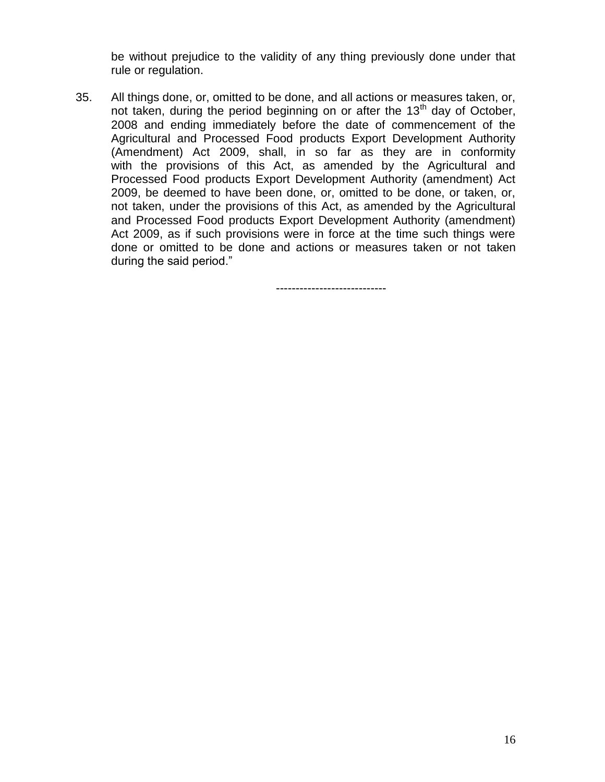be without prejudice to the validity of any thing previously done under that rule or regulation.

35. All things done, or, omitted to be done, and all actions or measures taken, or, not taken, during the period beginning on or after the 13<sup>th</sup> day of October, 2008 and ending immediately before the date of commencement of the Agricultural and Processed Food products Export Development Authority (Amendment) Act 2009, shall, in so far as they are in conformity with the provisions of this Act, as amended by the Agricultural and Processed Food products Export Development Authority (amendment) Act 2009, be deemed to have been done, or, omitted to be done, or taken, or, not taken, under the provisions of this Act, as amended by the Agricultural and Processed Food products Export Development Authority (amendment) Act 2009, as if such provisions were in force at the time such things were done or omitted to be done and actions or measures taken or not taken during the said period."

----------------------------